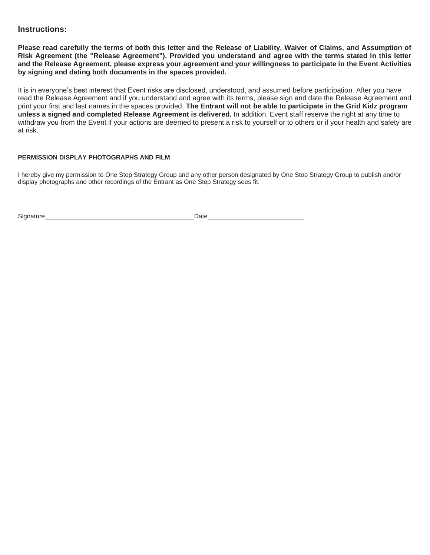## **Instructions:**

**Please read carefully the terms of both this letter and the Release of Liability, Waiver of Claims, and Assumption of Risk Agreement (the "Release Agreement"). Provided you understand and agree with the terms stated in this letter and the Release Agreement, please express your agreement and your willingness to participate in the Event Activities by signing and dating both documents in the spaces provided.**

It is in everyone's best interest that Event risks are disclosed, understood, and assumed before participation. After you have read the Release Agreement and if you understand and agree with its terms, please sign and date the Release Agreement and print your first and last names in the spaces provided. **The Entrant will not be able to participate in the Grid Kidz program unless a signed and completed Release Agreement is delivered.** In addition, Event staff reserve the right at any time to withdraw you from the Event if your actions are deemed to present a risk to yourself or to others or if your health and safety are at risk.

### **PERMISSION DISPLAY PHOTOGRAPHS AND FILM**

I hereby give my permission to One Stop Strategy Group and any other person designated by One Stop Strategy Group to publish and/or display photographs and other recordings of the Entrant as One Stop Strategy sees fit.

Signature Date **Date**